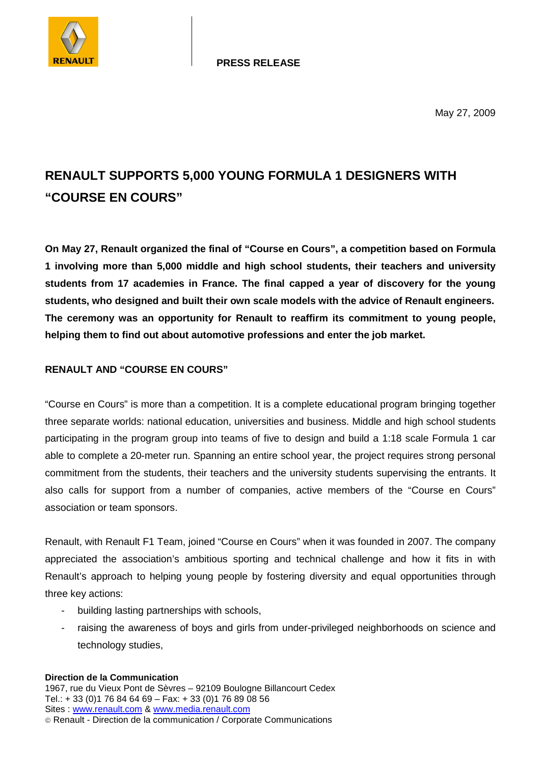

May 27, 2009

## **RENAULT SUPPORTS 5,000 YOUNG FORMULA 1 DESIGNERS WITH "COURSE EN COURS"**

**On May 27, Renault organized the final of "Course en Cours", a competition based on Formula 1 involving more than 5,000 middle and high school students, their teachers and university students from 17 academies in France. The final capped a year of discovery for the young students, who designed and built their own scale models with the advice of Renault engineers. The ceremony was an opportunity for Renault to reaffirm its commitment to young people, helping them to find out about automotive professions and enter the job market.** 

## **RENAULT AND "COURSE EN COURS"**

"Course en Cours" is more than a competition. It is a complete educational program bringing together three separate worlds: national education, universities and business. Middle and high school students participating in the program group into teams of five to design and build a 1:18 scale Formula 1 car able to complete a 20-meter run. Spanning an entire school year, the project requires strong personal commitment from the students, their teachers and the university students supervising the entrants. It also calls for support from a number of companies, active members of the "Course en Cours" association or team sponsors.

Renault, with Renault F1 Team, joined "Course en Cours" when it was founded in 2007. The company appreciated the association's ambitious sporting and technical challenge and how it fits in with Renault's approach to helping young people by fostering diversity and equal opportunities through three key actions:

- building lasting partnerships with schools,
- raising the awareness of boys and girls from under-privileged neighborhoods on science and technology studies,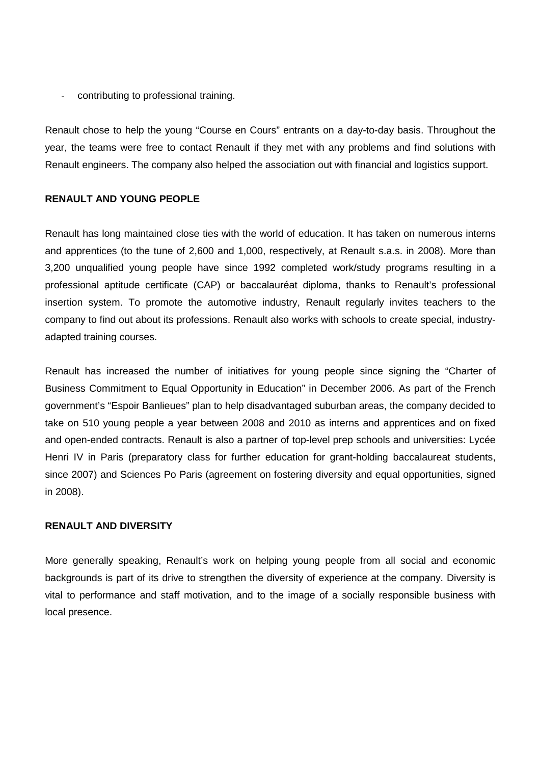- contributing to professional training.

Renault chose to help the young "Course en Cours" entrants on a day-to-day basis. Throughout the year, the teams were free to contact Renault if they met with any problems and find solutions with Renault engineers. The company also helped the association out with financial and logistics support.

## **RENAULT AND YOUNG PEOPLE**

Renault has long maintained close ties with the world of education. It has taken on numerous interns and apprentices (to the tune of 2,600 and 1,000, respectively, at Renault s.a.s. in 2008). More than 3,200 unqualified young people have since 1992 completed work/study programs resulting in a professional aptitude certificate (CAP) or baccalauréat diploma, thanks to Renault's professional insertion system. To promote the automotive industry, Renault regularly invites teachers to the company to find out about its professions. Renault also works with schools to create special, industryadapted training courses.

Renault has increased the number of initiatives for young people since signing the "Charter of Business Commitment to Equal Opportunity in Education" in December 2006. As part of the French government's "Espoir Banlieues" plan to help disadvantaged suburban areas, the company decided to take on 510 young people a year between 2008 and 2010 as interns and apprentices and on fixed and open-ended contracts. Renault is also a partner of top-level prep schools and universities: Lycée Henri IV in Paris (preparatory class for further education for grant-holding baccalaureat students, since 2007) and Sciences Po Paris (agreement on fostering diversity and equal opportunities, signed in 2008).

## **RENAULT AND DIVERSITY**

More generally speaking, Renault's work on helping young people from all social and economic backgrounds is part of its drive to strengthen the diversity of experience at the company. Diversity is vital to performance and staff motivation, and to the image of a socially responsible business with local presence.